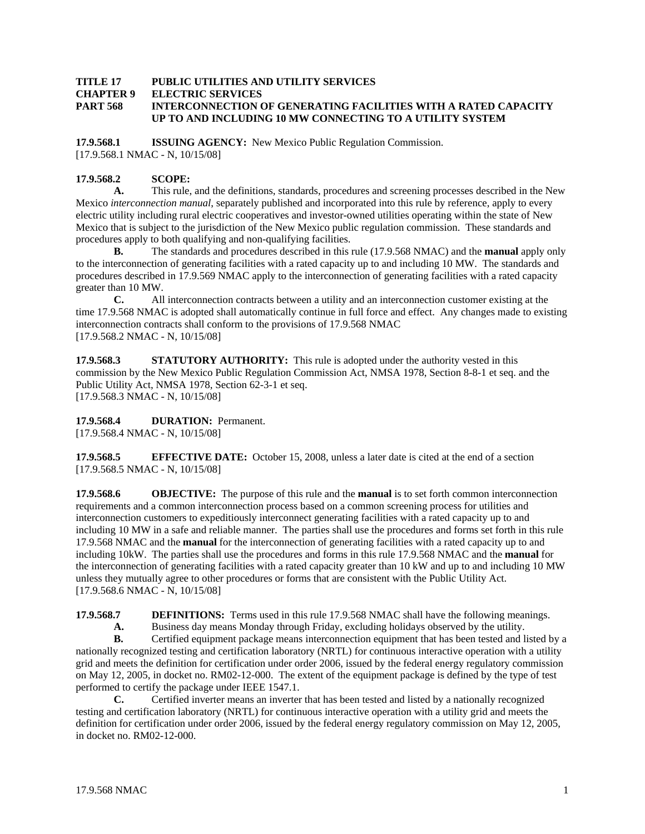#### **TITLE 17 PUBLIC UTILITIES AND UTILITY SERVICES CHAPTER 9 ELECTRIC SERVICES PART 568 INTERCONNECTION OF GENERATING FACILITIES WITH A RATED CAPACITY UP TO AND INCLUDING 10 MW CONNECTING TO A UTILITY SYSTEM**

**17.9.568.1 ISSUING AGENCY:** New Mexico Public Regulation Commission. [17.9.568.1 NMAC - N, 10/15/08]

# **17.9.568.2 SCOPE:**

**A.** This rule, and the definitions, standards, procedures and screening processes described in the New Mexico *interconnection manual*, separately published and incorporated into this rule by reference, apply to every electric utility including rural electric cooperatives and investor-owned utilities operating within the state of New Mexico that is subject to the jurisdiction of the New Mexico public regulation commission. These standards and procedures apply to both qualifying and non-qualifying facilities.

**B.** The standards and procedures described in this rule (17.9.568 NMAC) and the **manual** apply only to the interconnection of generating facilities with a rated capacity up to and including 10 MW. The standards and procedures described in 17.9.569 NMAC apply to the interconnection of generating facilities with a rated capacity greater than 10 MW.

**C.** All interconnection contracts between a utility and an interconnection customer existing at the time 17.9.568 NMAC is adopted shall automatically continue in full force and effect. Any changes made to existing interconnection contracts shall conform to the provisions of 17.9.568 NMAC [17.9.568.2 NMAC - N, 10/15/08]

**17.9.568.3 STATUTORY AUTHORITY:** This rule is adopted under the authority vested in this commission by the New Mexico Public Regulation Commission Act, NMSA 1978, Section 8-8-1 et seq. and the Public Utility Act, NMSA 1978, Section 62-3-1 et seq. [17.9.568.3 NMAC - N, 10/15/08]

**17.9.568.4 DURATION:** Permanent.

[17.9.568.4 NMAC - N, 10/15/08]

**17.9.568.5 EFFECTIVE DATE:** October 15, 2008, unless a later date is cited at the end of a section [17.9.568.5 NMAC - N, 10/15/08]

**17.9.568.6 OBJECTIVE:** The purpose of this rule and the **manual** is to set forth common interconnection requirements and a common interconnection process based on a common screening process for utilities and interconnection customers to expeditiously interconnect generating facilities with a rated capacity up to and including 10 MW in a safe and reliable manner. The parties shall use the procedures and forms set forth in this rule 17.9.568 NMAC and the **manual** for the interconnection of generating facilities with a rated capacity up to and including 10kW. The parties shall use the procedures and forms in this rule 17.9.568 NMAC and the **manual** for the interconnection of generating facilities with a rated capacity greater than 10 kW and up to and including 10 MW unless they mutually agree to other procedures or forms that are consistent with the Public Utility Act. [17.9.568.6 NMAC - N, 10/15/08]

**17.9.568.7 DEFINITIONS:** Terms used in this rule 17.9.568 NMAC shall have the following meanings.

**A.** Business day means Monday through Friday, excluding holidays observed by the utility.

**B.** Certified equipment package means interconnection equipment that has been tested and listed by a nationally recognized testing and certification laboratory (NRTL) for continuous interactive operation with a utility grid and meets the definition for certification under order 2006, issued by the federal energy regulatory commission on May 12, 2005, in docket no. RM02-12-000. The extent of the equipment package is defined by the type of test performed to certify the package under IEEE 1547.1.

**C.** Certified inverter means an inverter that has been tested and listed by a nationally recognized testing and certification laboratory (NRTL) for continuous interactive operation with a utility grid and meets the definition for certification under order 2006, issued by the federal energy regulatory commission on May 12, 2005, in docket no. RM02-12-000.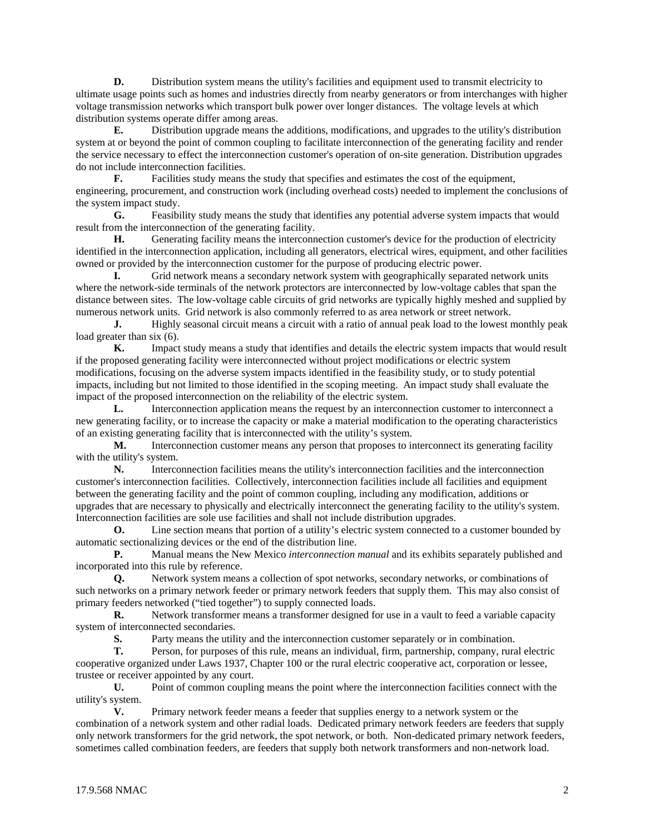**D.** Distribution system means the utility's facilities and equipment used to transmit electricity to ultimate usage points such as homes and industries directly from nearby generators or from interchanges with higher voltage transmission networks which transport bulk power over longer distances. The voltage levels at which distribution systems operate differ among areas.

**E.** Distribution upgrade means the additions, modifications, and upgrades to the utility's distribution system at or beyond the point of common coupling to facilitate interconnection of the generating facility and render the service necessary to effect the interconnection customer's operation of on-site generation. Distribution upgrades do not include interconnection facilities.

**F.** Facilities study means the study that specifies and estimates the cost of the equipment, engineering, procurement, and construction work (including overhead costs) needed to implement the conclusions of the system impact study.

**G.** Feasibility study means the study that identifies any potential adverse system impacts that would result from the interconnection of the generating facility.

**H.** Generating facility means the interconnection customer's device for the production of electricity identified in the interconnection application, including all generators, electrical wires, equipment, and other facilities owned or provided by the interconnection customer for the purpose of producing electric power.

**I.** Grid network means a secondary network system with geographically separated network units where the network-side terminals of the network protectors are interconnected by low-voltage cables that span the distance between sites. The low-voltage cable circuits of grid networks are typically highly meshed and supplied by numerous network units. Grid network is also commonly referred to as area network or street network.

**J.** Highly seasonal circuit means a circuit with a ratio of annual peak load to the lowest monthly peak load greater than six  $(6)$ .

**K.** Impact study means a study that identifies and details the electric system impacts that would result if the proposed generating facility were interconnected without project modifications or electric system modifications, focusing on the adverse system impacts identified in the feasibility study, or to study potential impacts, including but not limited to those identified in the scoping meeting. An impact study shall evaluate the impact of the proposed interconnection on the reliability of the electric system.

**L.** Interconnection application means the request by an interconnection customer to interconnect a new generating facility, or to increase the capacity or make a material modification to the operating characteristics of an existing generating facility that is interconnected with the utility's system.

**M.** Interconnection customer means any person that proposes to interconnect its generating facility with the utility's system.

**N.** Interconnection facilities means the utility's interconnection facilities and the interconnection customer's interconnection facilities. Collectively, interconnection facilities include all facilities and equipment between the generating facility and the point of common coupling, including any modification, additions or upgrades that are necessary to physically and electrically interconnect the generating facility to the utility's system. Interconnection facilities are sole use facilities and shall not include distribution upgrades.

**O.** Line section means that portion of a utility's electric system connected to a customer bounded by automatic sectionalizing devices or the end of the distribution line.

**P.** Manual means the New Mexico *interconnection manual* and its exhibits separately published and incorporated into this rule by reference.

**Q.** Network system means a collection of spot networks, secondary networks, or combinations of such networks on a primary network feeder or primary network feeders that supply them. This may also consist of primary feeders networked ("tied together") to supply connected loads.

**R.** Network transformer means a transformer designed for use in a vault to feed a variable capacity system of interconnected secondaries.

**S.** Party means the utility and the interconnection customer separately or in combination.

**T.** Person, for purposes of this rule, means an individual, firm, partnership, company, rural electric cooperative organized under Laws 1937, Chapter 100 or the rural electric cooperative act, corporation or lessee, trustee or receiver appointed by any court.

**U.** Point of common coupling means the point where the interconnection facilities connect with the utility's system.

**V.** Primary network feeder means a feeder that supplies energy to a network system or the combination of a network system and other radial loads. Dedicated primary network feeders are feeders that supply only network transformers for the grid network, the spot network, or both. Non-dedicated primary network feeders, sometimes called combination feeders, are feeders that supply both network transformers and non-network load.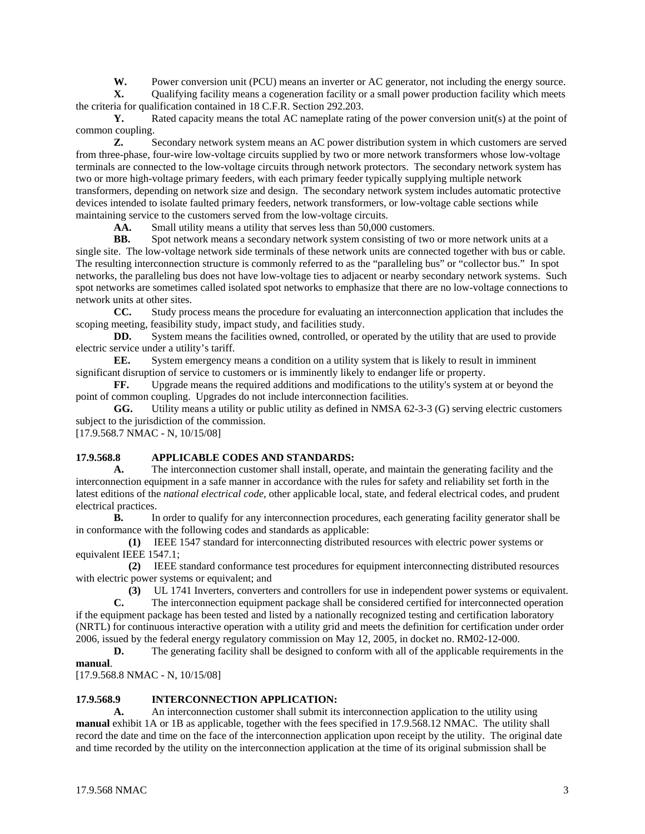**W.** Power conversion unit (PCU) means an inverter or AC generator, not including the energy source.

**X.** Qualifying facility means a cogeneration facility or a small power production facility which meets the criteria for qualification contained in 18 C.F.R. Section 292.203.

**Y.** Rated capacity means the total AC nameplate rating of the power conversion unit(s) at the point of common coupling.

**Z.** Secondary network system means an AC power distribution system in which customers are served from three-phase, four-wire low-voltage circuits supplied by two or more network transformers whose low-voltage terminals are connected to the low-voltage circuits through network protectors. The secondary network system has two or more high-voltage primary feeders, with each primary feeder typically supplying multiple network transformers, depending on network size and design. The secondary network system includes automatic protective devices intended to isolate faulted primary feeders, network transformers, or low-voltage cable sections while maintaining service to the customers served from the low-voltage circuits.

AA. Small utility means a utility that serves less than 50,000 customers.

**BB.** Spot network means a secondary network system consisting of two or more network units at a single site. The low-voltage network side terminals of these network units are connected together with bus or cable. The resulting interconnection structure is commonly referred to as the "paralleling bus" or "collector bus." In spot networks, the paralleling bus does not have low-voltage ties to adjacent or nearby secondary network systems. Such spot networks are sometimes called isolated spot networks to emphasize that there are no low-voltage connections to network units at other sites.

**CC.** Study process means the procedure for evaluating an interconnection application that includes the scoping meeting, feasibility study, impact study, and facilities study.

**DD.** System means the facilities owned, controlled, or operated by the utility that are used to provide electric service under a utility's tariff.

**EE.** System emergency means a condition on a utility system that is likely to result in imminent significant disruption of service to customers or is imminently likely to endanger life or property.

**FF.** Upgrade means the required additions and modifications to the utility's system at or beyond the point of common coupling. Upgrades do not include interconnection facilities.

**GG.** Utility means a utility or public utility as defined in NMSA 62-3-3 (G) serving electric customers subject to the jurisdiction of the commission.

[17.9.568.7 NMAC - N, 10/15/08]

# **17.9.568.8 APPLICABLE CODES AND STANDARDS:**

**A.** The interconnection customer shall install, operate, and maintain the generating facility and the interconnection equipment in a safe manner in accordance with the rules for safety and reliability set forth in the latest editions of the *national electrical code*, other applicable local, state, and federal electrical codes, and prudent electrical practices.

**B.** In order to qualify for any interconnection procedures, each generating facility generator shall be in conformance with the following codes and standards as applicable:

 **(1)** IEEE 1547 standard for interconnecting distributed resources with electric power systems or equivalent IEEE 1547.1;

 **(2)** IEEE standard conformance test procedures for equipment interconnecting distributed resources with electric power systems or equivalent; and

**(3)** UL 1741 Inverters, converters and controllers for use in independent power systems or equivalent.

**C.** The interconnection equipment package shall be considered certified for interconnected operation if the equipment package has been tested and listed by a nationally recognized testing and certification laboratory (NRTL) for continuous interactive operation with a utility grid and meets the definition for certification under order 2006, issued by the federal energy regulatory commission on May 12, 2005, in docket no. RM02-12-000.

**D.** The generating facility shall be designed to conform with all of the applicable requirements in the **manual**.

[17.9.568.8 NMAC - N, 10/15/08]

#### **17.9.568.9 INTERCONNECTION APPLICATION:**

**A.** An interconnection customer shall submit its interconnection application to the utility using **manual** exhibit 1A or 1B as applicable, together with the fees specified in 17.9.568.12 NMAC. The utility shall record the date and time on the face of the interconnection application upon receipt by the utility. The original date and time recorded by the utility on the interconnection application at the time of its original submission shall be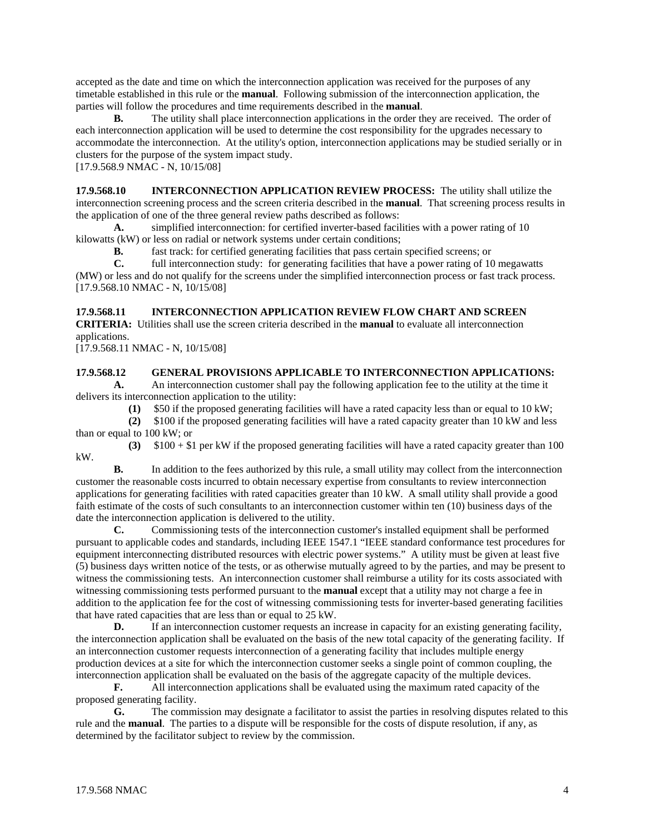accepted as the date and time on which the interconnection application was received for the purposes of any timetable established in this rule or the **manual**. Following submission of the interconnection application, the parties will follow the procedures and time requirements described in the **manual**.

**B.** The utility shall place interconnection applications in the order they are received. The order of each interconnection application will be used to determine the cost responsibility for the upgrades necessary to accommodate the interconnection. At the utility's option, interconnection applications may be studied serially or in clusters for the purpose of the system impact study.

[17.9.568.9 NMAC - N, 10/15/08]

**17.9.568.10 INTERCONNECTION APPLICATION REVIEW PROCESS:** The utility shall utilize the interconnection screening process and the screen criteria described in the **manual**. That screening process results in the application of one of the three general review paths described as follows:

**A.** simplified interconnection: for certified inverter-based facilities with a power rating of 10 kilowatts (kW) or less on radial or network systems under certain conditions;

**B.** fast track: for certified generating facilities that pass certain specified screens; or

**C.** full interconnection study: for generating facilities that have a power rating of 10 megawatts (MW) or less and do not qualify for the screens under the simplified interconnection process or fast track process. [17.9.568.10 NMAC - N, 10/15/08]

# **17.9.568.11 INTERCONNECTION APPLICATION REVIEW FLOW CHART AND SCREEN**

**CRITERIA:** Utilities shall use the screen criteria described in the **manual** to evaluate all interconnection applications.

[17.9.568.11 NMAC - N, 10/15/08]

### **17.9.568.12 GENERAL PROVISIONS APPLICABLE TO INTERCONNECTION APPLICATIONS:**

**A.** An interconnection customer shall pay the following application fee to the utility at the time it delivers its interconnection application to the utility:

**(1)** \$50 if the proposed generating facilities will have a rated capacity less than or equal to 10 kW;

 **(2)** \$100 if the proposed generating facilities will have a rated capacity greater than 10 kW and less than or equal to 100 kW; or

 **(3)** \$100 + \$1 per kW if the proposed generating facilities will have a rated capacity greater than 100 kW.

**B.** In addition to the fees authorized by this rule, a small utility may collect from the interconnection customer the reasonable costs incurred to obtain necessary expertise from consultants to review interconnection applications for generating facilities with rated capacities greater than 10 kW. A small utility shall provide a good faith estimate of the costs of such consultants to an interconnection customer within ten (10) business days of the date the interconnection application is delivered to the utility.

**C.** Commissioning tests of the interconnection customer's installed equipment shall be performed pursuant to applicable codes and standards, including IEEE 1547.1 "IEEE standard conformance test procedures for equipment interconnecting distributed resources with electric power systems." A utility must be given at least five (5) business days written notice of the tests, or as otherwise mutually agreed to by the parties, and may be present to witness the commissioning tests. An interconnection customer shall reimburse a utility for its costs associated with witnessing commissioning tests performed pursuant to the **manual** except that a utility may not charge a fee in addition to the application fee for the cost of witnessing commissioning tests for inverter-based generating facilities that have rated capacities that are less than or equal to 25 kW.

**D.** If an interconnection customer requests an increase in capacity for an existing generating facility, the interconnection application shall be evaluated on the basis of the new total capacity of the generating facility. If an interconnection customer requests interconnection of a generating facility that includes multiple energy production devices at a site for which the interconnection customer seeks a single point of common coupling, the interconnection application shall be evaluated on the basis of the aggregate capacity of the multiple devices.

**F.** All interconnection applications shall be evaluated using the maximum rated capacity of the proposed generating facility.

**G.** The commission may designate a facilitator to assist the parties in resolving disputes related to this rule and the **manual**. The parties to a dispute will be responsible for the costs of dispute resolution, if any, as determined by the facilitator subject to review by the commission.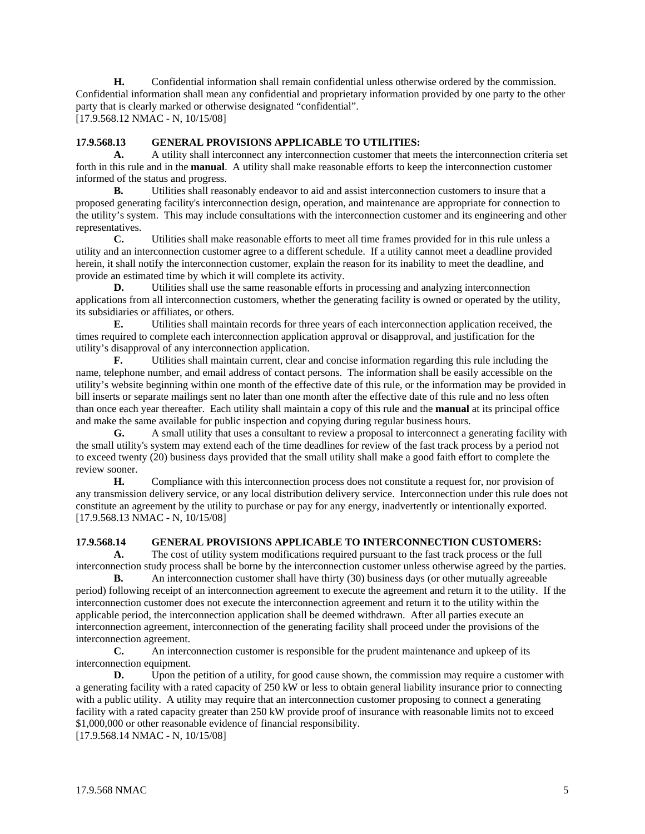**H.** Confidential information shall remain confidential unless otherwise ordered by the commission. Confidential information shall mean any confidential and proprietary information provided by one party to the other party that is clearly marked or otherwise designated "confidential". [17.9.568.12 NMAC - N, 10/15/08]

# **17.9.568.13 GENERAL PROVISIONS APPLICABLE TO UTILITIES:**

**A.** A utility shall interconnect any interconnection customer that meets the interconnection criteria set forth in this rule and in the **manual**. A utility shall make reasonable efforts to keep the interconnection customer informed of the status and progress.

**B.** Utilities shall reasonably endeavor to aid and assist interconnection customers to insure that a proposed generating facility's interconnection design, operation, and maintenance are appropriate for connection to the utility's system. This may include consultations with the interconnection customer and its engineering and other representatives.

**C.** Utilities shall make reasonable efforts to meet all time frames provided for in this rule unless a utility and an interconnection customer agree to a different schedule. If a utility cannot meet a deadline provided herein, it shall notify the interconnection customer, explain the reason for its inability to meet the deadline, and provide an estimated time by which it will complete its activity.

**D.** Utilities shall use the same reasonable efforts in processing and analyzing interconnection applications from all interconnection customers, whether the generating facility is owned or operated by the utility, its subsidiaries or affiliates, or others.

**E.** Utilities shall maintain records for three years of each interconnection application received, the times required to complete each interconnection application approval or disapproval, and justification for the utility's disapproval of any interconnection application.

**F.** Utilities shall maintain current, clear and concise information regarding this rule including the name, telephone number, and email address of contact persons. The information shall be easily accessible on the utility's website beginning within one month of the effective date of this rule, or the information may be provided in bill inserts or separate mailings sent no later than one month after the effective date of this rule and no less often than once each year thereafter. Each utility shall maintain a copy of this rule and the **manual** at its principal office and make the same available for public inspection and copying during regular business hours.

**G.** A small utility that uses a consultant to review a proposal to interconnect a generating facility with the small utility's system may extend each of the time deadlines for review of the fast track process by a period not to exceed twenty (20) business days provided that the small utility shall make a good faith effort to complete the review sooner.

**H.** Compliance with this interconnection process does not constitute a request for, nor provision of any transmission delivery service, or any local distribution delivery service. Interconnection under this rule does not constitute an agreement by the utility to purchase or pay for any energy, inadvertently or intentionally exported. [17.9.568.13 NMAC - N, 10/15/08]

### **17.9.568.14 GENERAL PROVISIONS APPLICABLE TO INTERCONNECTION CUSTOMERS:**

**A.** The cost of utility system modifications required pursuant to the fast track process or the full interconnection study process shall be borne by the interconnection customer unless otherwise agreed by the parties.

**B.** An interconnection customer shall have thirty (30) business days (or other mutually agreeable period) following receipt of an interconnection agreement to execute the agreement and return it to the utility. If the interconnection customer does not execute the interconnection agreement and return it to the utility within the applicable period, the interconnection application shall be deemed withdrawn. After all parties execute an interconnection agreement, interconnection of the generating facility shall proceed under the provisions of the interconnection agreement.

**C.** An interconnection customer is responsible for the prudent maintenance and upkeep of its interconnection equipment.

**D.** Upon the petition of a utility, for good cause shown, the commission may require a customer with a generating facility with a rated capacity of 250 kW or less to obtain general liability insurance prior to connecting with a public utility. A utility may require that an interconnection customer proposing to connect a generating facility with a rated capacity greater than 250 kW provide proof of insurance with reasonable limits not to exceed \$1,000,000 or other reasonable evidence of financial responsibility.

[17.9.568.14 NMAC - N, 10/15/08]